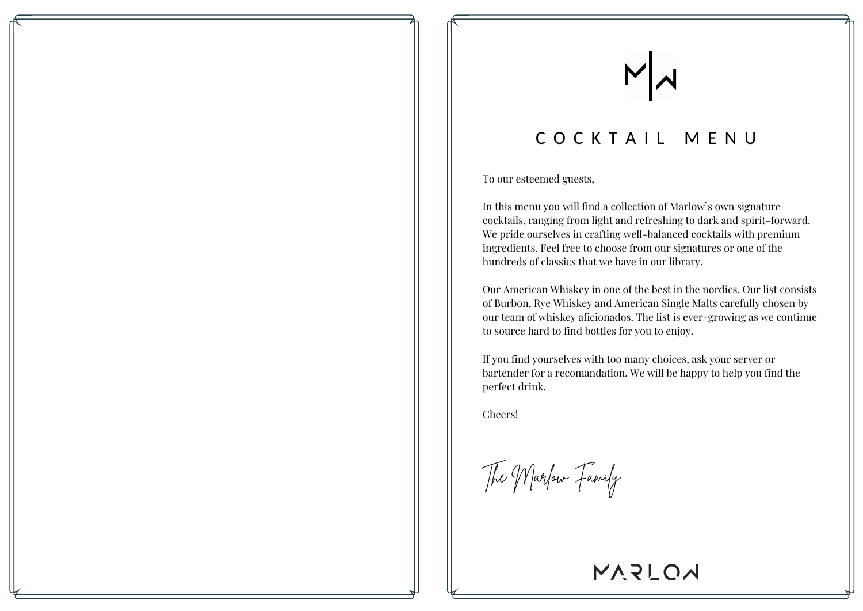# COCKTAIL MENU

To our esteemed guests,

In this menu you will find a collection of Marlow`s own signature cocktails, ranging from light and refreshing to dark and spirit-forward. We pride ourselves in crafting well-balanced cocktails with premium ingredients. Feel free to choose from our signatures or one of the hundreds of classics that we have in our library.

Our American Whiskey in one of the best in the nordics. Our list consists of Burbon, Rye Whiskey and American Single Malts carefully chosen by our team of whiskey aficionados. The list is ever-growing as we continue to source hard to find bottles for you to enjoy.

If you find yourselves with too many choices, ask your server or bartender for a recomandation. We will be happy to help you find the perfect drink.

Cheers!

The Marlow Family

MVSTOM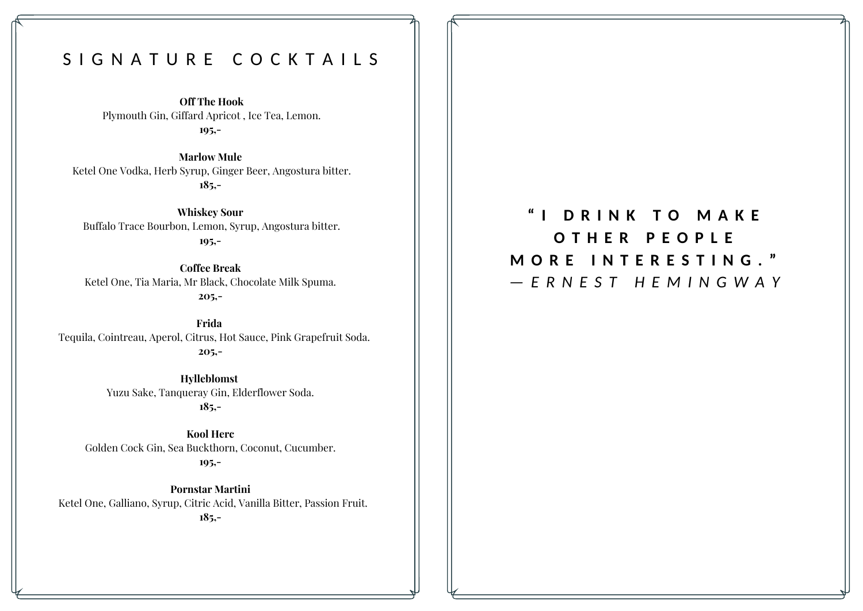# S I G N A T U R E C O C K T A I L S

**Off The Hook** Plymouth Gin, Giffard Apricot , Ice Tea, Lemon. **195,-**

**Marlow Mule** Ketel One Vodka, Herb Syrup, Ginger Beer, Angostura bitter. **185,-**

**Whiskey Sour** Buffalo Trace Bourbon, Lemon, Syrup, Angostura bitter. **195,-**

**Coffee Break** Ketel One, Tia Maria, Mr Black, Chocolate Milk Spuma. **205,-**

**Frida** Tequila, Cointreau, Aperol, Citrus, Hot Sauce, Pink Grapefruit Soda. **205,-**

> **Hylleblomst** Yuzu Sake, Tanqueray Gin, Elderflower Soda. **185,-**

**Kool Herc** Golden Cock Gin, Sea Buckthorn, Coconut, Cucumber. **195,-**

**Pornstar Martini** Ketel One, Galliano, Syrup, Citric Acid, Vanilla Bitter, Passion Fruit. **185,-**

**" I D R I N K T O M A K E O T H E R P E O P L E M O R E I N T E R E S T I N G . "** *— E R N E S T H E M I N G W A Y*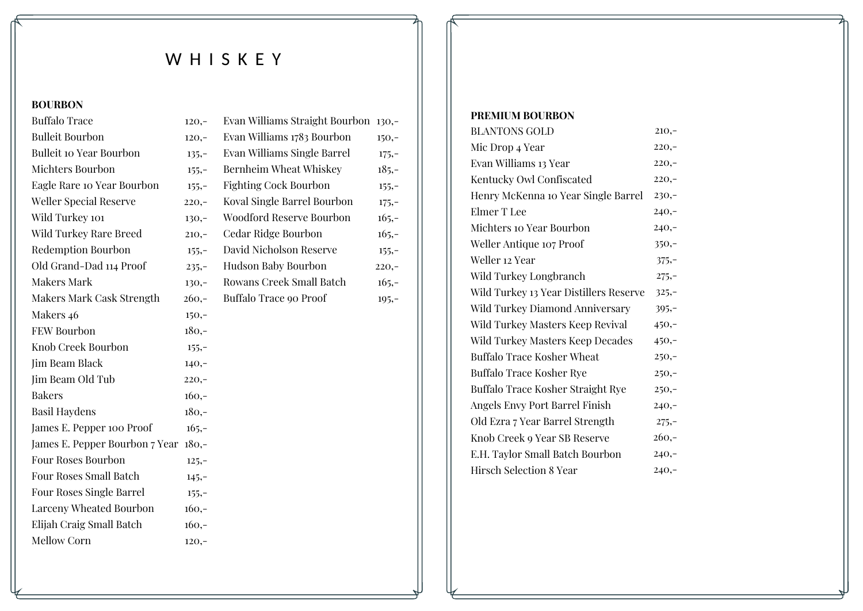# WHISKEY

### **BOURBON**

| <b>Buffalo Trace</b>            | $120,-$ | Evan Williams Straight Bourbon 130,- |         |
|---------------------------------|---------|--------------------------------------|---------|
| <b>Bulleit Bourbon</b>          | $120,-$ | Evan Williams 1783 Bourbon           | $150,-$ |
| <b>Bulleit 10 Year Bourbon</b>  | $135,-$ | Evan Williams Single Barrel          | $175,-$ |
| Michters Bourbon                | $155,-$ | Bernheim Wheat Whiskey               | $185,-$ |
| Eagle Rare 10 Year Bourbon      | $155,-$ | <b>Fighting Cock Bourbon</b>         | $155,-$ |
| <b>Weller Special Reserve</b>   | $220,-$ | Koval Single Barrel Bourbon          | $175,-$ |
| Wild Turkey 101                 | $130,-$ | Woodford Reserve Bourbon             | $165,-$ |
| Wild Turkey Rare Breed          | $210,-$ | Cedar Ridge Bourbon                  | $165,-$ |
| <b>Redemption Bourbon</b>       | $155,-$ | David Nicholson Reserve              | $155,-$ |
| Old Grand-Dad 114 Proof         | $235,-$ | Hudson Baby Bourbon                  | $220,-$ |
| <b>Makers Mark</b>              | $130,-$ | Rowans Creek Small Batch             | $165,-$ |
| Makers Mark Cask Strength       | $260,-$ | Buffalo Trace 90 Proof               | $195,-$ |
| Makers 46                       | $150,-$ |                                      |         |
| <b>FEW Bourbon</b>              | $180,-$ |                                      |         |
| Knob Creek Bourbon              | $155,-$ |                                      |         |
| Jim Beam Black                  | $140,-$ |                                      |         |
| Jim Beam Old Tub                | $220,-$ |                                      |         |
| <b>Bakers</b>                   | $160,-$ |                                      |         |
| <b>Basil Haydens</b>            | $180,-$ |                                      |         |
| James E. Pepper 100 Proof       | $165,-$ |                                      |         |
| James E. Pepper Bourbon 7 Year  | $180,-$ |                                      |         |
| <b>Four Roses Bourbon</b>       | $125,-$ |                                      |         |
| <b>Four Roses Small Batch</b>   | $145,-$ |                                      |         |
| <b>Four Roses Single Barrel</b> | $155,-$ |                                      |         |
| Larceny Wheated Bourbon         | $160,-$ |                                      |         |
| Elijah Craig Small Batch        | $160,-$ |                                      |         |
| Mellow Corn                     | $120,-$ |                                      |         |

#### **PREMIUM BOURBON**

| <b>BLANTONS GOLD</b>                   | $210,-$ |
|----------------------------------------|---------|
| Mic Drop 4 Year                        | $220,-$ |
| Evan Williams 13 Year                  | $220,-$ |
| Kentucky Owl Confiscated               | $220,-$ |
| Henry McKenna 10 Year Single Barrel    | $230,-$ |
| Elmer T Lee                            | $240,-$ |
| Michters 10 Year Bourbon               | $240,-$ |
| Weller Antique 107 Proof               | $350,-$ |
| Weller 12 Year                         | $375,-$ |
| Wild Turkey Longbranch                 | $275,-$ |
| Wild Turkey 13 Year Distillers Reserve | $325,-$ |
| Wild Turkey Diamond Anniversary        | $395,-$ |
| Wild Turkey Masters Keep Revival       | $450,-$ |
| Wild Turkey Masters Keep Decades       | $450,-$ |
| Buffalo Trace Kosher Wheat             | $250,-$ |
| Buffalo Trace Kosher Rye               | $250,-$ |
| Buffalo Trace Kosher Straight Rye      | $250,-$ |
| Angels Envy Port Barrel Finish         | $240,-$ |
| Old Ezra 7 Year Barrel Strength        | $275,-$ |
| Knob Creek 9 Year SB Reserve           | $260,-$ |
| E.H. Taylor Small Batch Bourbon        | $240,-$ |
| <b>Hirsch Selection 8 Year</b>         | $240,-$ |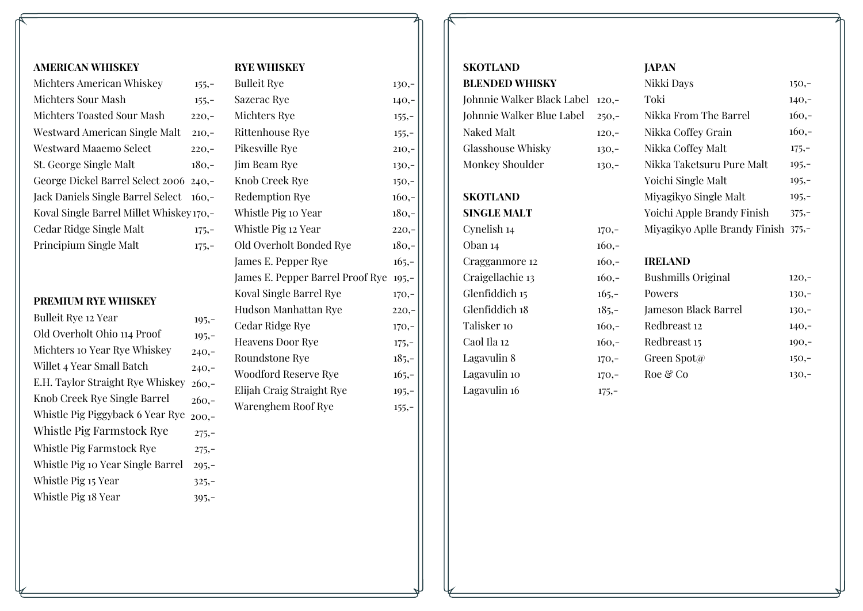#### **AMERICAN WHISKEY**

| Michters American Whiskey                | $155,-$ |
|------------------------------------------|---------|
| Michters Sour Mash                       | $155,-$ |
| Michters Toasted Sour Mash               | $220 -$ |
| Westward American Single Malt            | $210 -$ |
| Westward Maaemo Select                   | $220 -$ |
| St. George Single Malt                   | 180.-   |
| George Dickel Barrel Select 2006 240,-   |         |
| Jack Daniels Single Barrel Select 160,-  |         |
| Koval Single Barrel Millet Whiskey 170,- |         |
| Cedar Ridge Single Malt                  | $175,-$ |
| Principium Single Malt                   | $175,-$ |

### **PREMIUM RYE WHISKEY**

| Bulleit Rye 12 Year               | $105,-$ |
|-----------------------------------|---------|
| Old Overholt Ohio 114 Proof       | $195,-$ |
| Michters to Year Rye Whiskey      | $240 -$ |
| Willet 4 Year Small Batch         | $240 -$ |
| E.H. Taylor Straight Rye Whiskey  | $260 -$ |
| Knob Creek Rye Single Barrel      | $260 -$ |
| Whistle Pig Piggyback 6 Year Rye  | $200 -$ |
| Whistle Pig Farmstock Rye         | $275,-$ |
| Whistle Pig Farmstock Rye         | $275,-$ |
| Whistle Pig 10 Year Single Barrel | $205 -$ |
| Whistle Pig 15 Year               | $325,-$ |
| Whistle Pig 18 Year               | $395,-$ |

# **RYE WHISKEY**

| <b>Bulleit Rye</b>               | $130,-$ |
|----------------------------------|---------|
| Sazerac Rye                      | $140,-$ |
| Michters Rye                     | $155,-$ |
| Rittenhouse Rye                  | $155,-$ |
| Pikesville Rye                   | $210,-$ |
| Jim Beam Rye                     | $130,-$ |
| Knob Creek Rye                   | $150,-$ |
| <b>Redemption Rye</b>            | $160,-$ |
| Whistle Pig 10 Year              | $180,-$ |
| Whistle Pig 12 Year              | $220,-$ |
| Old Overholt Bonded Rye          | $180,-$ |
| James E. Pepper Rye              | $165,-$ |
| James E. Pepper Barrel Proof Rye | $105,-$ |
| Koval Single Barrel Rye          | $170,-$ |
| Hudson Manhattan Rye             | $220,-$ |
| Cedar Ridge Rye                  | $170,-$ |
| <b>Heavens Door Rye</b>          | $175,-$ |
| Roundstone Rye                   | $185,-$ |
| Woodford Reserve Rye             | $165,-$ |
| Elijah Craig Straight Rye        | $195,-$ |
| Warenghem Roof Rye               | $155,-$ |
|                                  |         |

#### **SKOTLAND BLENDED WHISKY**

| Johnnie Walker Black Label 120,- |         |
|----------------------------------|---------|
| Johnnie Walker Blue Label 250,-  |         |
| Naked Malt                       | $120 -$ |
| <b>Glasshouse Whisky</b>         | $130 -$ |
| Monkey Shoulder                  | $130 -$ |

**SKOTLAND**

**SINGLE MALT** Cynelish 14 Oban 14 Cragganmore 12 Craigellachie 13 Glenfiddich 15 Glenfiddich 18 Talisker 10 Caol Ila 12 Lagavulin 8 Lagavulin 10 Lagavulin 16

#### **JAPAN**

| Nikki Days                          | $150,-$ |
|-------------------------------------|---------|
| Toki                                | $140,-$ |
| Nikka From The Barrel               | $160 -$ |
| Nikka Coffey Grain                  | $160 -$ |
| Nikka Coffey Malt                   | $175,-$ |
| Nikka Taketsuru Pure Malt           | $105 -$ |
| Yoichi Single Malt                  | $105,-$ |
| Miyagikyo Single Malt               | $105 -$ |
| Yoichi Apple Brandy Finish          | $375 -$ |
| Miyagikyo Aplle Brandy Finish 375,- |         |
|                                     |         |

#### **IRELAND**

170,- 160,- 160,-

| $160 -$ | <b>Bushmills Original</b> | $120,-$ |
|---------|---------------------------|---------|
| $165 -$ | Powers                    | $130,-$ |
| $185,-$ | Jameson Black Barrel      | $130 -$ |
| $160 -$ | Redbreast 12              | $140,-$ |
| $160 -$ | Redbreast 15              | $100 -$ |
| $170,-$ | Green Spot $\varpi$       | $150,-$ |
| $170 -$ | Roe & Co                  | $130,-$ |
| $175,-$ |                           |         |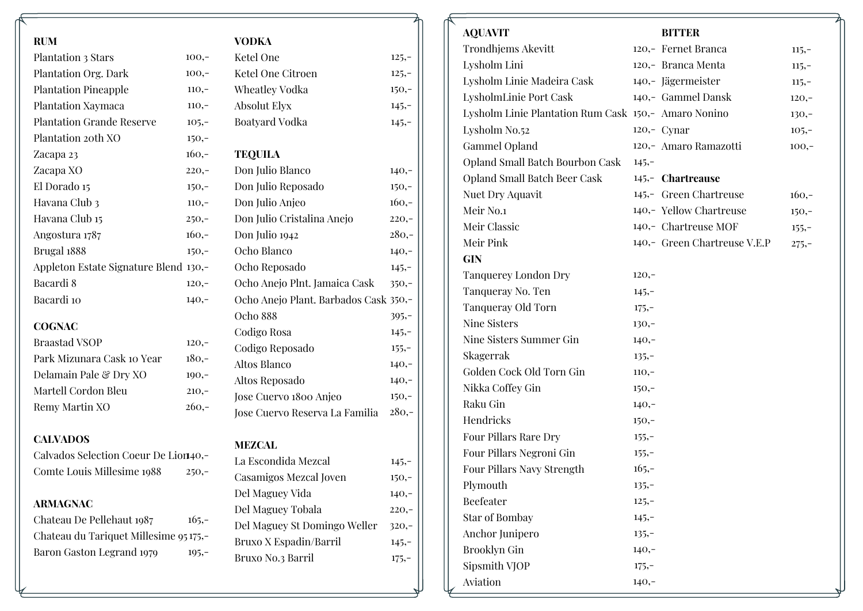| <b>RUM</b>                             |         | <b>VODKA</b>                          |          |
|----------------------------------------|---------|---------------------------------------|----------|
| Plantation 3 Stars                     | $100,-$ | Ketel One                             | $125,-$  |
| Plantation Org. Dark                   | $100,-$ | Ketel One Citroen                     | $125,-$  |
| <b>Plantation Pineapple</b>            | $110,-$ | Wheatley Vodka                        | $150,-$  |
| Plantation Xaymaca                     | $110,-$ | <b>Absolut Elyx</b>                   | $145,-$  |
| <b>Plantation Grande Reserve</b>       | $105,-$ | Boatyard Vodka                        | $145,-$  |
| Plantation 20th XO                     | $150,-$ |                                       |          |
| Zacapa 23                              | $160,-$ | <b>TEQUILA</b>                        |          |
| Zacapa XO                              | $220,-$ | Don Julio Blanco                      | $140,-$  |
| El Dorado 15                           | $150,-$ | Don Julio Reposado                    | $150,-$  |
| Havana Club 3                          | $110,-$ | Don Julio Anjeo                       | $160,-$  |
| Havana Club 15                         | $250,-$ | Don Julio Cristalina Anejo            | $220,-$  |
| Angostura 1787                         | $160,-$ | Don Julio 1942                        | $280,-$  |
| Brugal 1888                            | $150,-$ | Ocho Blanco                           | $140,-$  |
| Appleton Estate Signature Blend 130,-  |         | Ocho Reposado                         | $145,-$  |
| Bacardi 8                              | $120,-$ | Ocho Anejo Plnt. Jamaica Cask         | $350,-$  |
| Bacardi 10                             | $140,-$ | Ocho Anejo Plant. Barbados Cask 350,- |          |
|                                        |         | Ocho 888                              | $395,-$  |
| <b>COGNAC</b>                          |         | Codigo Rosa                           | $145,-$  |
| <b>Braastad VSOP</b>                   | $120,-$ | Codigo Reposado                       | $155,-$  |
| Park Mizunara Cask 10 Year             | $180,-$ | Altos Blanco                          | $140,-$  |
| Delamain Pale & Dry XO                 | $190,-$ | Altos Reposado                        | $140,-$  |
| Martell Cordon Bleu                    | $210,-$ | Jose Cuervo 1800 Anjeo                | $150,-$  |
| Remy Martin XO                         | $260,-$ | Jose Cuervo Reserva La Familia        | $280,-$  |
| <b>CALVADOS</b>                        |         |                                       |          |
| Calvados Selection Coeur De Lion40,-   |         | <b>MEZCAL</b>                         |          |
| Comte Louis Millesime 1988             | $250,-$ | La Escondida Mezcal                   | 145,     |
|                                        |         | Casamigos Mezcal Joven                | 150,     |
| <b>ARMAGNAC</b>                        |         | Del Maguey Vida                       | $140,-$  |
| Chateau De Pellehaut 1987              | $165,-$ | Del Maguey Tobala                     | $220, -$ |
| Chateau du Tariquet Millesime 95 175,- |         | Del Maguey St Domingo Weller          | $320,-$  |
| Baron Gaston Legrand 1979              | $195,-$ | Bruxo X Espadin/Barril                | $145,-$  |
|                                        |         | Bruxo No.3 Barril                     | $175, -$ |

|          | <b>BITTER</b> |                                                                                                                                                                                                                                                                                                                         |
|----------|---------------|-------------------------------------------------------------------------------------------------------------------------------------------------------------------------------------------------------------------------------------------------------------------------------------------------------------------------|
|          |               | $115,-$                                                                                                                                                                                                                                                                                                                 |
|          |               | $115,-$                                                                                                                                                                                                                                                                                                                 |
|          |               | $115,-$                                                                                                                                                                                                                                                                                                                 |
|          |               | $120,-$                                                                                                                                                                                                                                                                                                                 |
|          |               | $130,-$                                                                                                                                                                                                                                                                                                                 |
|          |               | $105,-$                                                                                                                                                                                                                                                                                                                 |
|          |               | $100,-$                                                                                                                                                                                                                                                                                                                 |
| $145,-$  |               |                                                                                                                                                                                                                                                                                                                         |
|          |               |                                                                                                                                                                                                                                                                                                                         |
|          |               | $160,-$                                                                                                                                                                                                                                                                                                                 |
|          |               | $150,-$                                                                                                                                                                                                                                                                                                                 |
|          |               | $155,-$                                                                                                                                                                                                                                                                                                                 |
|          |               | $275,-$                                                                                                                                                                                                                                                                                                                 |
|          |               |                                                                                                                                                                                                                                                                                                                         |
| $120,-$  |               |                                                                                                                                                                                                                                                                                                                         |
| $145,-$  |               |                                                                                                                                                                                                                                                                                                                         |
| $175,-$  |               |                                                                                                                                                                                                                                                                                                                         |
| $130,-$  |               |                                                                                                                                                                                                                                                                                                                         |
| $140,-$  |               |                                                                                                                                                                                                                                                                                                                         |
| $135,-$  |               |                                                                                                                                                                                                                                                                                                                         |
| $110,-$  |               |                                                                                                                                                                                                                                                                                                                         |
| $150,-$  |               |                                                                                                                                                                                                                                                                                                                         |
| $140,-$  |               |                                                                                                                                                                                                                                                                                                                         |
| $150,-$  |               |                                                                                                                                                                                                                                                                                                                         |
| $155,-$  |               |                                                                                                                                                                                                                                                                                                                         |
| $155,-$  |               |                                                                                                                                                                                                                                                                                                                         |
| $165,-$  |               |                                                                                                                                                                                                                                                                                                                         |
| $135,-$  |               |                                                                                                                                                                                                                                                                                                                         |
| $125,-$  |               |                                                                                                                                                                                                                                                                                                                         |
| $145,-$  |               |                                                                                                                                                                                                                                                                                                                         |
| $135,-$  |               |                                                                                                                                                                                                                                                                                                                         |
| $140, -$ |               |                                                                                                                                                                                                                                                                                                                         |
| $175,-$  |               |                                                                                                                                                                                                                                                                                                                         |
| $140,-$  |               |                                                                                                                                                                                                                                                                                                                         |
|          |               | 120,- Fernet Branca<br>120,- Branca Menta<br>140,- Jägermeister<br>140,- Gammel Dansk<br>Lysholm Linie Plantation Rum Cask 150,- Amaro Nonino<br>120,- Cynar<br>120,- Amaro Ramazotti<br>145,- Chartreause<br>145,- Green Chartreuse<br>140,- Yellow Chartreuse<br>140,- Chartreuse MOF<br>140,- Green Chartreuse V.E.P |